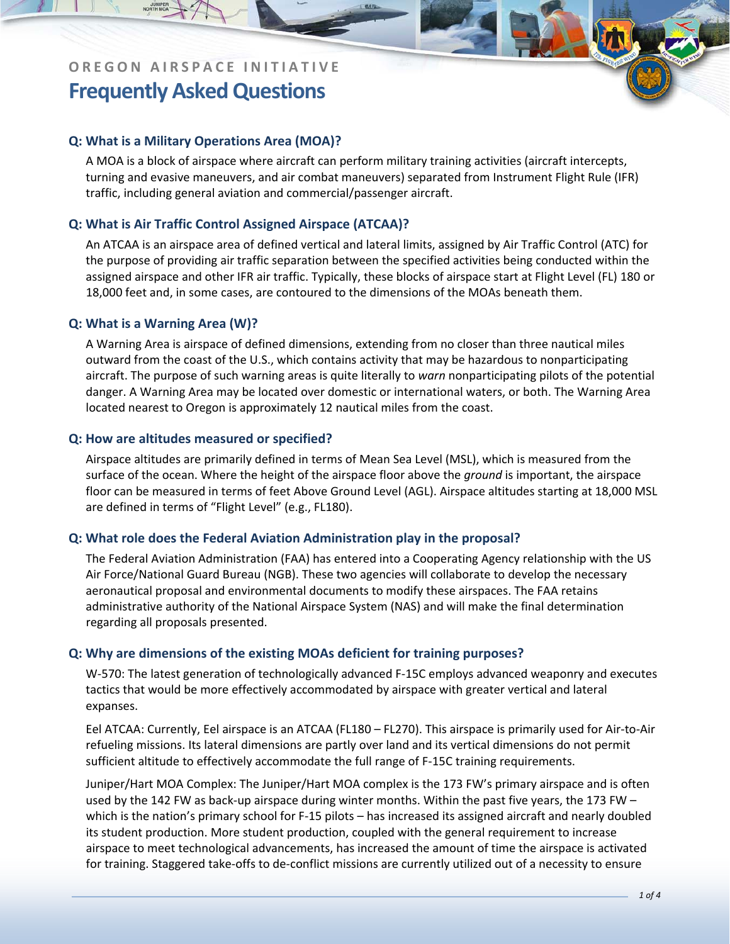## **Q: What is a Military Operations Area (MOA)?**

A MOA is a block of airspace where aircraft can perform military training activities (aircraft intercepts, turning and evasive maneuvers, and air combat maneuvers) separated from Instrument Flight Rule (IFR) traffic, including general aviation and commercial/passenger aircraft.

## **Q: What is Air Traffic Control Assigned Airspace (ATCAA)?**

An ATCAA is an airspace area of defined vertical and lateral limits, assigned by Air Traffic Control (ATC) for the purpose of providing air traffic separation between the specified activities being conducted within the assigned airspace and other IFR air traffic. Typically, these blocks of airspace start at Flight Level (FL) 180 or 18,000 feet and, in some cases, are contoured to the dimensions of the MOAs beneath them.

### **Q: What is a Warning Area (W)?**

A Warning Area is airspace of defined dimensions, extending from no closer than three nautical miles outward from the coast of the U.S., which contains activity that may be hazardous to nonparticipating aircraft. The purpose of such warning areas is quite literally to *warn* nonparticipating pilots of the potential danger. A Warning Area may be located over domestic or international waters, or both. The Warning Area located nearest to Oregon is approximately 12 nautical miles from the coast.

### **Q: How are altitudes measured or specified?**

Airspace altitudes are primarily defined in terms of Mean Sea Level (MSL), which is measured from the surface of the ocean. Where the height of the airspace floor above the *ground* is important, the airspace floor can be measured in terms of feet Above Ground Level (AGL). Airspace altitudes starting at 18,000 MSL are defined in terms of "Flight Level" (e.g., FL180).

## **Q: What role does the Federal Aviation Administration play in the proposal?**

The Federal Aviation Administration (FAA) has entered into a Cooperating Agency relationship with the US Air Force/National Guard Bureau (NGB). These two agencies will collaborate to develop the necessary aeronautical proposal and environmental documents to modify these airspaces. The FAA retains administrative authority of the National Airspace System (NAS) and will make the final determination regarding all proposals presented.

## **Q: Why are dimensions of the existing MOAs deficient for training purposes?**

W-570: The latest generation of technologically advanced F-15C employs advanced weaponry and executes tactics that would be more effectively accommodated by airspace with greater vertical and lateral expanses.

Eel ATCAA: Currently, Eel airspace is an ATCAA (FL180 – FL270). This airspace is primarily used for Air‐to‐Air refueling missions. Its lateral dimensions are partly over land and its vertical dimensions do not permit sufficient altitude to effectively accommodate the full range of F-15C training requirements.

Juniper/Hart MOA Complex: The Juniper/Hart MOA complex is the 173 FW's primary airspace and is often used by the 142 FW as back-up airspace during winter months. Within the past five years, the 173 FW – which is the nation's primary school for F-15 pilots – has increased its assigned aircraft and nearly doubled its student production. More student production, coupled with the general requirement to increase airspace to meet technological advancements, has increased the amount of time the airspace is activated for training. Staggered take‐offs to de‐conflict missions are currently utilized out of a necessity to ensure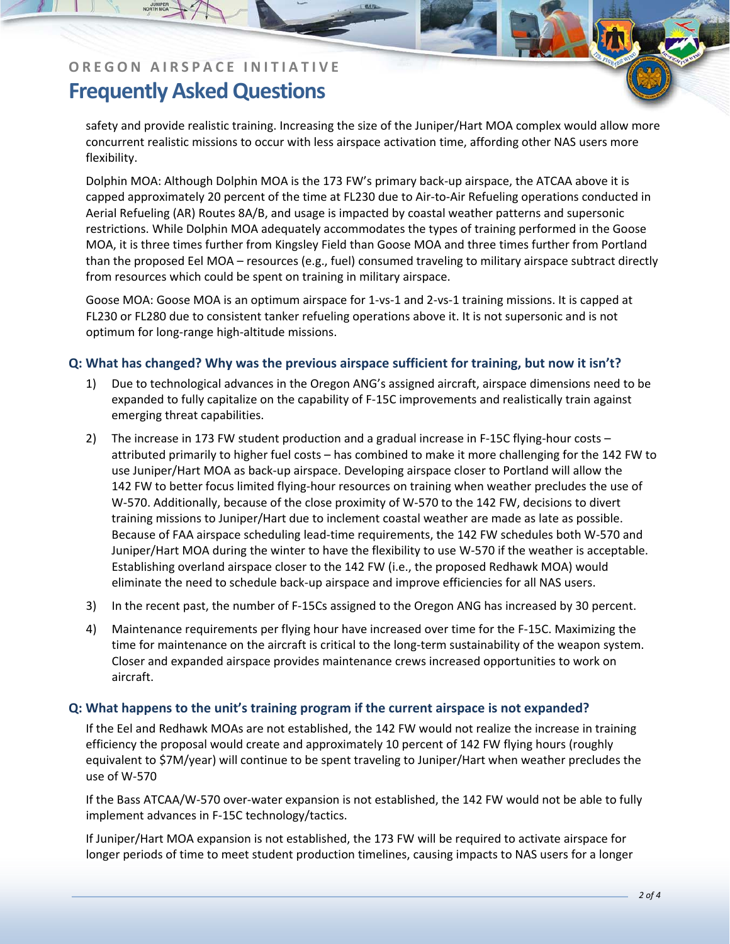safety and provide realistic training. Increasing the size of the Juniper/Hart MOA complex would allow more concurrent realistic missions to occur with less airspace activation time, affording other NAS users more flexibility.

Dolphin MOA: Although Dolphin MOA is the 173 FW's primary back‐up airspace, the ATCAA above it is capped approximately 20 percent of the time at FL230 due to Air‐to‐Air Refueling operations conducted in Aerial Refueling (AR) Routes 8A/B, and usage is impacted by coastal weather patterns and supersonic restrictions. While Dolphin MOA adequately accommodates the types of training performed in the Goose MOA, it is three times further from Kingsley Field than Goose MOA and three times further from Portland than the proposed Eel MOA – resources (e.g., fuel) consumed traveling to military airspace subtract directly from resources which could be spent on training in military airspace.

Goose MOA: Goose MOA is an optimum airspace for 1‐vs‐1 and 2‐vs‐1 training missions. It is capped at FL230 or FL280 due to consistent tanker refueling operations above it. It is not supersonic and is not optimum for long‐range high‐altitude missions.

## **Q: What has changed? Why was the previous airspace sufficient for training, but now it isn't?**

- 1) Due to technological advances in the Oregon ANG's assigned aircraft, airspace dimensions need to be expanded to fully capitalize on the capability of F‐15C improvements and realistically train against emerging threat capabilities.
- 2) The increase in 173 FW student production and a gradual increase in F-15C flying-hour costs attributed primarily to higher fuel costs – has combined to make it more challenging for the 142 FW to use Juniper/Hart MOA as back‐up airspace. Developing airspace closer to Portland will allow the 142 FW to better focus limited flying‐hour resources on training when weather precludes the use of W-570. Additionally, because of the close proximity of W-570 to the 142 FW, decisions to divert training missions to Juniper/Hart due to inclement coastal weather are made as late as possible. Because of FAA airspace scheduling lead‐time requirements, the 142 FW schedules both W‐570 and Juniper/Hart MOA during the winter to have the flexibility to use W‐570 if the weather is acceptable. Establishing overland airspace closer to the 142 FW (i.e., the proposed Redhawk MOA) would eliminate the need to schedule back‐up airspace and improve efficiencies for all NAS users.
- 3) In the recent past, the number of F‐15Cs assigned to the Oregon ANG has increased by 30 percent.
- 4) Maintenance requirements per flying hour have increased over time for the F‐15C. Maximizing the time for maintenance on the aircraft is critical to the long‐term sustainability of the weapon system. Closer and expanded airspace provides maintenance crews increased opportunities to work on aircraft.

## **Q: What happens to the unit's training program if the current airspace is not expanded?**

If the Eel and Redhawk MOAs are not established, the 142 FW would not realize the increase in training efficiency the proposal would create and approximately 10 percent of 142 FW flying hours (roughly equivalent to \$7M/year) will continue to be spent traveling to Juniper/Hart when weather precludes the use of W‐570

If the Bass ATCAA/W‐570 over‐water expansion is not established, the 142 FW would not be able to fully implement advances in F‐15C technology/tactics.

If Juniper/Hart MOA expansion is not established, the 173 FW will be required to activate airspace for longer periods of time to meet student production timelines, causing impacts to NAS users for a longer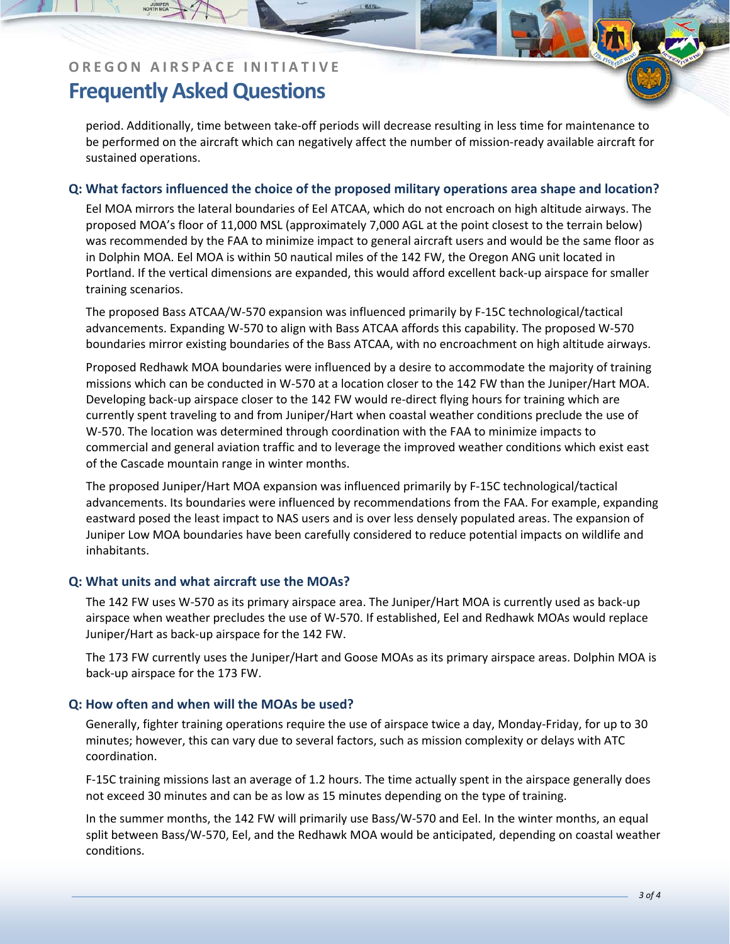period. Additionally, time between take‐off periods will decrease resulting in less time for maintenance to be performed on the aircraft which can negatively affect the number of mission-ready available aircraft for sustained operations.

#### **Q: What factors influenced the choice of the proposed military operations area shape and location?**

Eel MOA mirrors the lateral boundaries of Eel ATCAA, which do not encroach on high altitude airways. The proposed MOA's floor of 11,000 MSL (approximately 7,000 AGL at the point closest to the terrain below) was recommended by the FAA to minimize impact to general aircraft users and would be the same floor as in Dolphin MOA. Eel MOA is within 50 nautical miles of the 142 FW, the Oregon ANG unit located in Portland. If the vertical dimensions are expanded, this would afford excellent back‐up airspace for smaller training scenarios.

The proposed Bass ATCAA/W‐570 expansion was influenced primarily by F‐15C technological/tactical advancements. Expanding W‐570 to align with Bass ATCAA affords this capability. The proposed W‐570 boundaries mirror existing boundaries of the Bass ATCAA, with no encroachment on high altitude airways.

Proposed Redhawk MOA boundaries were influenced by a desire to accommodate the majority of training missions which can be conducted in W‐570 at a location closer to the 142 FW than the Juniper/Hart MOA. Developing back-up airspace closer to the 142 FW would re-direct flying hours for training which are currently spent traveling to and from Juniper/Hart when coastal weather conditions preclude the use of W-570. The location was determined through coordination with the FAA to minimize impacts to commercial and general aviation traffic and to leverage the improved weather conditions which exist east of the Cascade mountain range in winter months.

The proposed Juniper/Hart MOA expansion was influenced primarily by F‐15C technological/tactical advancements. Its boundaries were influenced by recommendations from the FAA. For example, expanding eastward posed the least impact to NAS users and is over less densely populated areas. The expansion of Juniper Low MOA boundaries have been carefully considered to reduce potential impacts on wildlife and inhabitants.

#### **Q: What units and what aircraft use the MOAs?**

The 142 FW uses W‐570 as its primary airspace area. The Juniper/Hart MOA is currently used as back‐up airspace when weather precludes the use of W‐570. If established, Eel and Redhawk MOAs would replace Juniper/Hart as back‐up airspace for the 142 FW.

The 173 FW currently uses the Juniper/Hart and Goose MOAs as its primary airspace areas. Dolphin MOA is back‐up airspace for the 173 FW.

#### **Q: How often and when will the MOAs be used?**

Generally, fighter training operations require the use of airspace twice a day, Monday‐Friday, for up to 30 minutes; however, this can vary due to several factors, such as mission complexity or delays with ATC coordination.

F‐15C training missions last an average of 1.2 hours. The time actually spent in the airspace generally does not exceed 30 minutes and can be as low as 15 minutes depending on the type of training.

In the summer months, the 142 FW will primarily use Bass/W‐570 and Eel. In the winter months, an equal split between Bass/W‐570, Eel, and the Redhawk MOA would be anticipated, depending on coastal weather conditions.